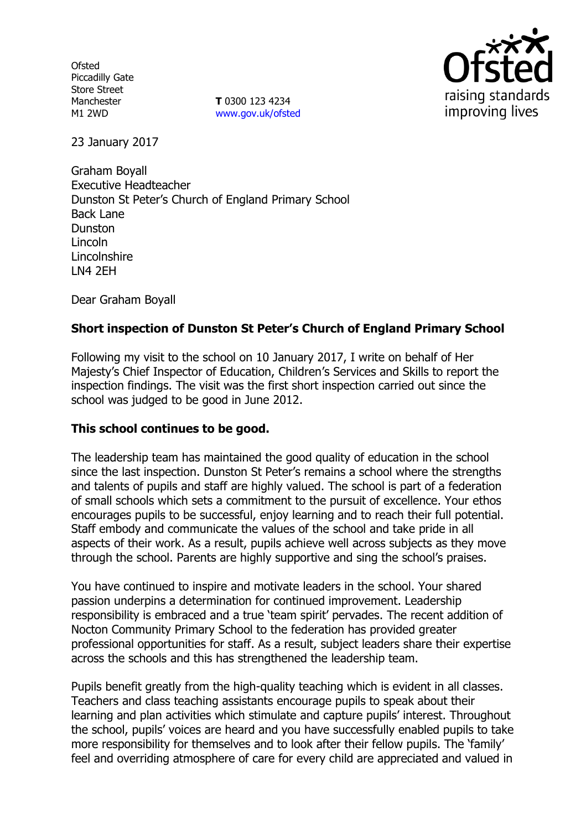**Ofsted** Piccadilly Gate Store Street Manchester M1 2WD

**T** 0300 123 4234 www.gov.uk/ofsted



23 January 2017

Graham Boyall Executive Headteacher Dunston St Peter's Church of England Primary School Back Lane **Dunston** Lincoln **Lincolnshire** LN4 2EH

Dear Graham Boyall

### **Short inspection of Dunston St Peter's Church of England Primary School**

Following my visit to the school on 10 January 2017, I write on behalf of Her Majesty's Chief Inspector of Education, Children's Services and Skills to report the inspection findings. The visit was the first short inspection carried out since the school was judged to be good in June 2012.

#### **This school continues to be good.**

The leadership team has maintained the good quality of education in the school since the last inspection. Dunston St Peter's remains a school where the strengths and talents of pupils and staff are highly valued. The school is part of a federation of small schools which sets a commitment to the pursuit of excellence. Your ethos encourages pupils to be successful, enjoy learning and to reach their full potential. Staff embody and communicate the values of the school and take pride in all aspects of their work. As a result, pupils achieve well across subjects as they move through the school. Parents are highly supportive and sing the school's praises.

You have continued to inspire and motivate leaders in the school. Your shared passion underpins a determination for continued improvement. Leadership responsibility is embraced and a true 'team spirit' pervades. The recent addition of Nocton Community Primary School to the federation has provided greater professional opportunities for staff. As a result, subject leaders share their expertise across the schools and this has strengthened the leadership team.

Pupils benefit greatly from the high-quality teaching which is evident in all classes. Teachers and class teaching assistants encourage pupils to speak about their learning and plan activities which stimulate and capture pupils' interest. Throughout the school, pupils' voices are heard and you have successfully enabled pupils to take more responsibility for themselves and to look after their fellow pupils. The 'family' feel and overriding atmosphere of care for every child are appreciated and valued in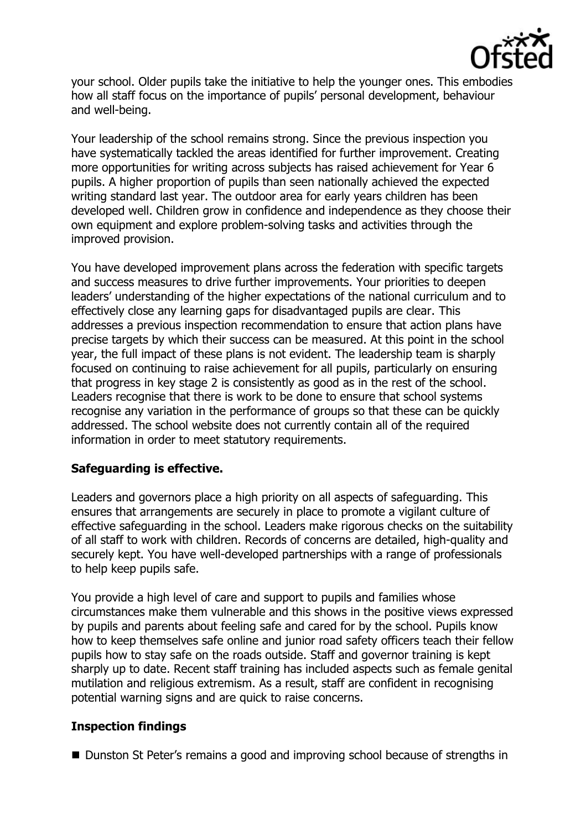

your school. Older pupils take the initiative to help the younger ones. This embodies how all staff focus on the importance of pupils' personal development, behaviour and well-being.

Your leadership of the school remains strong. Since the previous inspection you have systematically tackled the areas identified for further improvement. Creating more opportunities for writing across subjects has raised achievement for Year 6 pupils. A higher proportion of pupils than seen nationally achieved the expected writing standard last year. The outdoor area for early years children has been developed well. Children grow in confidence and independence as they choose their own equipment and explore problem-solving tasks and activities through the improved provision.

You have developed improvement plans across the federation with specific targets and success measures to drive further improvements. Your priorities to deepen leaders' understanding of the higher expectations of the national curriculum and to effectively close any learning gaps for disadvantaged pupils are clear. This addresses a previous inspection recommendation to ensure that action plans have precise targets by which their success can be measured. At this point in the school year, the full impact of these plans is not evident. The leadership team is sharply focused on continuing to raise achievement for all pupils, particularly on ensuring that progress in key stage 2 is consistently as good as in the rest of the school. Leaders recognise that there is work to be done to ensure that school systems recognise any variation in the performance of groups so that these can be quickly addressed. The school website does not currently contain all of the required information in order to meet statutory requirements.

#### **Safeguarding is effective.**

Leaders and governors place a high priority on all aspects of safeguarding. This ensures that arrangements are securely in place to promote a vigilant culture of effective safeguarding in the school. Leaders make rigorous checks on the suitability of all staff to work with children. Records of concerns are detailed, high-quality and securely kept. You have well-developed partnerships with a range of professionals to help keep pupils safe.

You provide a high level of care and support to pupils and families whose circumstances make them vulnerable and this shows in the positive views expressed by pupils and parents about feeling safe and cared for by the school. Pupils know how to keep themselves safe online and junior road safety officers teach their fellow pupils how to stay safe on the roads outside. Staff and governor training is kept sharply up to date. Recent staff training has included aspects such as female genital mutilation and religious extremism. As a result, staff are confident in recognising potential warning signs and are quick to raise concerns.

## **Inspection findings**

■ Dunston St Peter's remains a good and improving school because of strengths in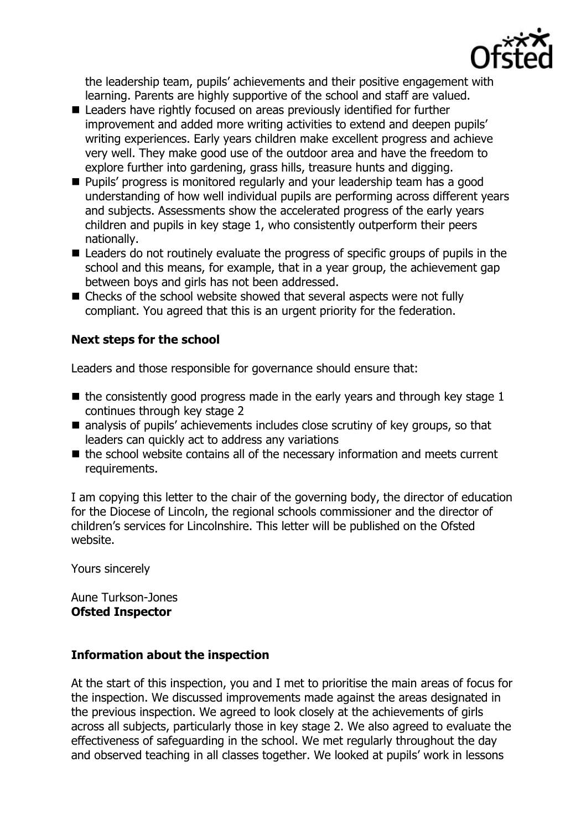

the leadership team, pupils' achievements and their positive engagement with learning. Parents are highly supportive of the school and staff are valued.

- Leaders have rightly focused on areas previously identified for further improvement and added more writing activities to extend and deepen pupils' writing experiences. Early years children make excellent progress and achieve very well. They make good use of the outdoor area and have the freedom to explore further into gardening, grass hills, treasure hunts and digging.
- **Pupils' progress is monitored regularly and your leadership team has a good** understanding of how well individual pupils are performing across different years and subjects. Assessments show the accelerated progress of the early years children and pupils in key stage 1, who consistently outperform their peers nationally.
- Leaders do not routinely evaluate the progress of specific groups of pupils in the school and this means, for example, that in a year group, the achievement gap between boys and girls has not been addressed.
- Checks of the school website showed that several aspects were not fully compliant. You agreed that this is an urgent priority for the federation.

# **Next steps for the school**

Leaders and those responsible for governance should ensure that:

- $\blacksquare$  the consistently good progress made in the early years and through key stage 1 continues through key stage 2
- analysis of pupils' achievements includes close scrutiny of key groups, so that leaders can quickly act to address any variations
- $\blacksquare$  the school website contains all of the necessary information and meets current requirements.

I am copying this letter to the chair of the governing body, the director of education for the Diocese of Lincoln, the regional schools commissioner and the director of children's services for Lincolnshire. This letter will be published on the Ofsted website.

Yours sincerely

Aune Turkson-Jones **Ofsted Inspector**

## **Information about the inspection**

At the start of this inspection, you and I met to prioritise the main areas of focus for the inspection. We discussed improvements made against the areas designated in the previous inspection. We agreed to look closely at the achievements of girls across all subjects, particularly those in key stage 2. We also agreed to evaluate the effectiveness of safeguarding in the school. We met regularly throughout the day and observed teaching in all classes together. We looked at pupils' work in lessons